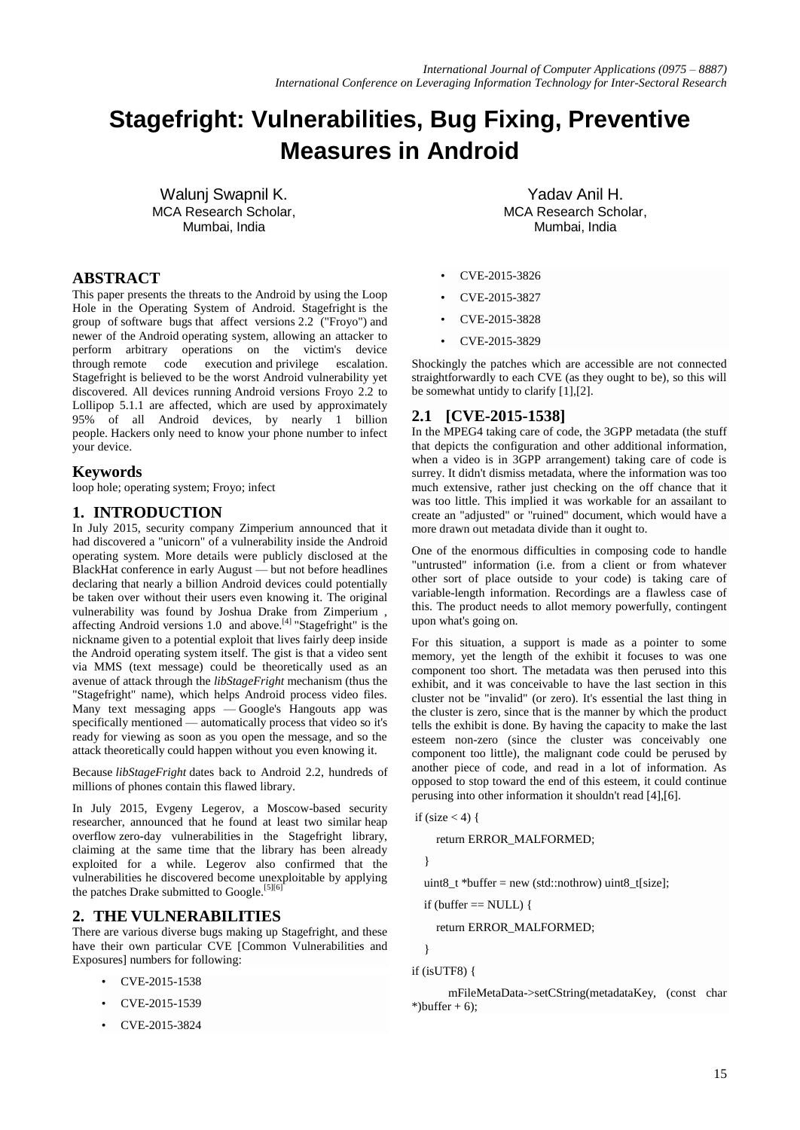# **Stagefright: Vulnerabilities, Bug Fixing, Preventive Measures in Android**

Walunj Swapnil K. MCA Research Scholar, Mumbai, India

# **ABSTRACT**

This paper presents the threats to the Android by using the Loop Hole in the Operating System of Android. Stagefright is the group of [software bugs](https://en.wikipedia.org/wiki/Software_bug) that affect versions [2.2 \("Froyo"\)](https://en.wikipedia.org/wiki/Android_Froyo) and newer of the [Android](https://en.wikipedia.org/wiki/Android_(operating_system)) [operating system,](https://en.wikipedia.org/wiki/Operating_system) allowing an attacker to perform arbitrary operations on the victim's device through [remote code execution](https://en.wikipedia.org/wiki/Remote_code_execution) and [privilege escalation.](https://en.wikipedia.org/wiki/Privilege_escalation)  Stagefright is believed to be the worst Android vulnerability yet discovered. All devices running Android versions Froyo 2.2 to Lollipop 5.1.1 are affected, which are used by approximately 95% of all Android devices, by nearly 1 billion people. [Hackers](https://www.avast.com/c-hacker) only need to know your phone number to infect your device.

#### **Keywords**

loop hole; operating system; Froyo; infect

#### **1. INTRODUCTION**

In July 2015, security company Zimperium announced that it had discovered a "unicorn" of a vulnerability inside the Android operating system. More details were publicly disclosed at the BlackHat conference in early August — but not before headlines declaring that nearly a billion Android devices could potentially be taken over without their users even knowing it. The original vulnerability was found by Joshua Drake from Zimperium , affecting Android versions 1.0 and above.<sup>[4]</sup> "Stagefright" is the nickname given to a potential exploit that lives fairly deep inside the Android operating system itself. The gist is that a video sent via MMS (text message) could be theoretically used as an avenue of attack through the *libStageFright* mechanism (thus the "Stagefright" name), which helps Android process video files. Many text messaging apps — Google's Hangouts app was specifically mentioned — automatically process that video so it's ready for viewing as soon as you open the message, and so the attack theoretically could happen without you even knowing it.

Because *libStageFright* dates back to Android 2.2, hundreds of millions of phones contain this flawed library.

In July 2015, Evgeny Legerov, a Moscow-based security researcher, announced that he found at least two similar [heap](https://en.wikipedia.org/wiki/Heap_overflow)  [overflow](https://en.wikipedia.org/wiki/Heap_overflow) [zero-day vulnerabilities](https://en.wikipedia.org/wiki/Zero-day_vulnerability) in the Stagefright library, claiming at the same time that the library has been already exploited for a while. Legerov also confirmed that the vulnerabilities he discovered become unexploitable by applying the [patches](https://en.wikipedia.org/wiki/Patch_(computing)) Drake submitted to Google.<sup>[\[5\]\[6\]](https://en.wikipedia.org/wiki/Stagefright_(bug)#cite_note-zimperium-protection-1)</sup>

#### **2. THE VULNERABILITIES**

There are various diverse bugs making up Stagefright, and these have their own particular CVE [Common Vulnerabilities and Exposures] numbers for following:

- CVE-2015-1538
- CVE-2015-1539
- CVE-2015-3824

Yadav Anil H. MCA Research Scholar, Mumbai, India

- CVE-2015-3826
- CVE-2015-3827
- CVE-2015-3828
- CVE-2015-3829

Shockingly the patches which are accessible are not connected straightforwardly to each CVE (as they ought to be), so this will be somewhat untidy to clarify [1],[2].

## **2.1 [CVE-2015-1538]**

In the MPEG4 taking care of code, the 3GPP metadata (the stuff that depicts the configuration and other additional information, when a video is in 3GPP arrangement) taking care of code is surrey. It didn't dismiss metadata, where the information was too much extensive, rather just checking on the off chance that it was too little. This implied it was workable for an assailant to create an "adjusted" or "ruined" document, which would have a more drawn out metadata divide than it ought to.

One of the enormous difficulties in composing code to handle "untrusted" information (i.e. from a client or from whatever other sort of place outside to your code) is taking care of variable-length information. Recordings are a flawless case of this. The product needs to allot memory powerfully, contingent upon what's going on.

For this situation, a support is made as a pointer to some memory, yet the length of the exhibit it focuses to was one component too short. The metadata was then perused into this exhibit, and it was conceivable to have the last section in this cluster not be "invalid" (or zero). It's essential the last thing in the cluster is zero, since that is the manner by which the product tells the exhibit is done. By having the capacity to make the last esteem non-zero (since the cluster was conceivably one component too little), the malignant code could be perused by another piece of code, and read in a lot of information. As opposed to stop toward the end of this esteem, it could continue perusing into other information it shouldn't read [4],[6].

if (size  $<$  4) {

return ERROR\_MALFORMED;

}

uint8\_t \*buffer = new (std::nothrow) uint8\_t[size];

if (buffer  $==$  NULL) {

return ERROR\_MALFORMED;

}

#### if (isUTF8) {

 mFileMetaData->setCString(metadataKey, (const char \*)buffer  $+ 6$ ;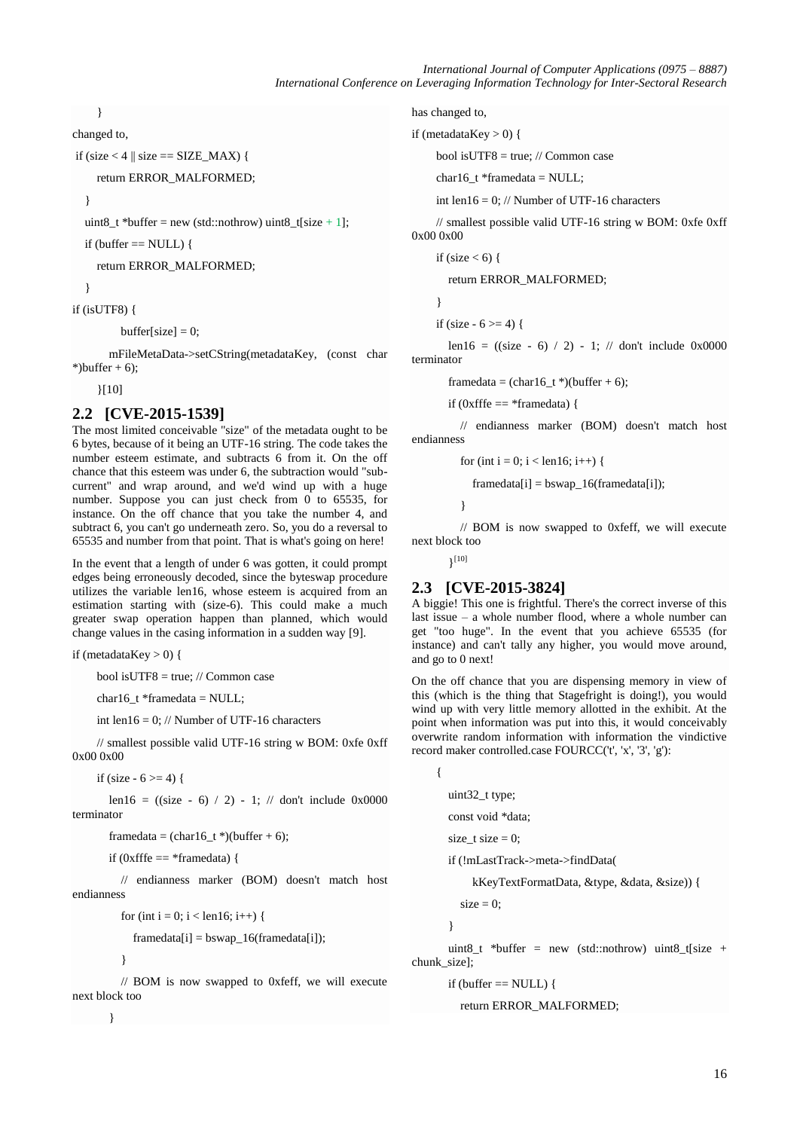}

changed to,

if (size  $<$  4 || size == SIZE\_MAX) {

return ERROR\_MALFORMED;

}

uint8\_t \*buffer = new (std::nothrow) uint8\_t[size + 1];

if (buffer  $==$  NULL) {

return ERROR\_MALFORMED;

}

if (isUTF8) {

buffer[size]  $= 0$ ;

 mFileMetaData->setCString(metadataKey, (const char \*)buffer  $+6$ :

}[10]

## **2.2 [CVE-2015-1539]**

The most limited conceivable "size" of the metadata ought to be 6 bytes, because of it being an UTF-16 string. The code takes the number esteem estimate, and subtracts 6 from it. On the off chance that this esteem was under 6, the subtraction would "subcurrent" and wrap around, and we'd wind up with a huge number. Suppose you can just check from 0 to 65535, for instance. On the off chance that you take the number 4, and subtract 6, you can't go underneath zero. So, you do a reversal to 65535 and number from that point. That is what's going on here!

In the event that a length of under 6 was gotten, it could prompt edges being erroneously decoded, since the byteswap procedure utilizes the variable len16, whose esteem is acquired from an estimation starting with (size-6). This could make a much greater swap operation happen than planned, which would change values in the casing information in a sudden way [9].

if (metadataKey  $> 0$ ) {

bool isUTF8 = true; // Common case

char16\_t \*framedata = NULL;

int len16 = 0; // Number of UTF-16 characters

 // smallest possible valid UTF-16 string w BOM: 0xfe 0xff 0x00 0x00

if (size  $-6 \ge 4$ ) {

len16 =  $((size - 6) / 2) - 1$ ; // don't include 0x0000 terminator

framedata =  $(char16_t*)$ (buffer + 6);

if (0xfffe  $==$  \*framedata) {

 // endianness marker (BOM) doesn't match host endianness

for (int i = 0; i < len16; i++) {

 $framedata[i] = bswap_16(framedata[i]);$ 

}

 // BOM is now swapped to 0xfeff, we will execute next block too

}

has changed to,

```
if (metadataKey > 0) {
```
bool isUTF8 = true; // Common case

char16  $t$  \*framedata = NULL;

int len16 = 0; // Number of UTF-16 characters

 // smallest possible valid UTF-16 string w BOM: 0xfe 0xff 0x00 0x00

if (size  $< 6$ ) {

return ERROR\_MALFORMED;

}

if (size  $-6 \ge 4$ ) {

len16 =  $((size - 6) / 2) - 1$ ; // don't include 0x0000 terminator

framedata = (char16 t \*)(buffer + 6);

if (0xfffe  $==$  \*framedata) {

 // endianness marker (BOM) doesn't match host endianness

for (int i = 0; i < len16; i++) {

 $framedata[i] = bswap_16(framedata[i]);$ 

}

 // BOM is now swapped to 0xfeff, we will execute next block too

 $\{10\}$ 

# **2.3 [CVE-2015-3824]**

A biggie! This one is frightful. There's the correct inverse of this last issue – a whole number flood, where a whole number can get "too huge". In the event that you achieve 65535 (for instance) and can't tally any higher, you would move around, and go to 0 next!

On the off chance that you are dispensing memory in view of this (which is the thing that Stagefright is doing!), you would wind up with very little memory allotted in the exhibit. At the point when information was put into this, it would conceivably overwrite random information with information the vindictive record maker controlled.case FOURCC('t', 'x', '3', 'g'):

 { uint32\_t type; const void \*data; size\_t size  $= 0$ ; if (!mLastTrack->meta->findData( kKeyTextFormatData, &type, &data, &size)) {

 $size = 0;$ 

}

uint8 t \*buffer = new (std::nothrow) uint8 t[size + chunk\_size];

if (buffer  $==$  NULL) {

return ERROR\_MALFORMED;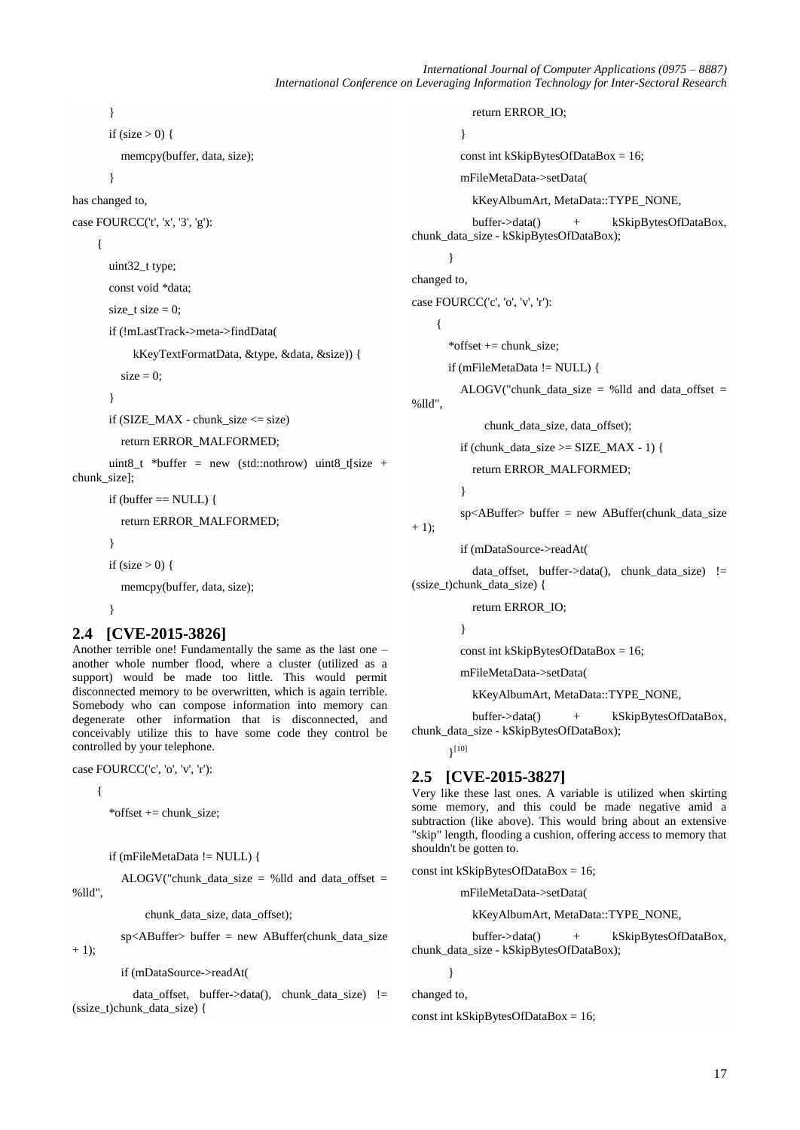*International Journal of Computer Applications (0975 – 8887) International Conference on Leveraging Information Technology for Inter-Sectoral Research*

```
 }
if (size > 0) {
```

```
 memcpy(buffer, data, size);
```
}

```
has changed to,
```

```
case FOURCC('t', 'x', '3', 'g'):
```
#### {

uint32\_t type;

const void \*data;

size  $t$  size  $= 0$ ;

if (!mLastTrack->meta->findData(

kKeyTextFormatData, &type, &data, &size)) {

```
size = 0;
```

```
 }
```
if  $(SIZE\_MAX - chunk\_size \leq size)$ 

return ERROR\_MALFORMED;

uint8\_t \*buffer = new (std::nothrow) uint8\_t[size + chunk\_size];

if (buffer  $==$  NULL) {

return ERROR\_MALFORMED;

```
 }
```
if (size  $> 0$ ) {

memcpy(buffer, data, size);

```
 }
```
# **2.4 [CVE-2015-3826]**

Another terrible one! Fundamentally the same as the last one – another whole number flood, where a cluster (utilized as a support) would be made too little. This would permit disconnected memory to be overwritten, which is again terrible. Somebody who can compose information into memory can degenerate other information that is disconnected, and conceivably utilize this to have some code they control be controlled by your telephone.

case FOURCC('c', 'o', 'v', 'r'):

{

 $+ 1$ :

\*offset += chunk\_size;

```
 if (mFileMetaData != NULL) {
```
ALOGV("chunk data size = %lld and data offset = %lld",

chunk\_data\_size, data\_offset);

sp<ABuffer> buffer = new ABuffer(chunk\_data\_size

if (mDataSource->readAt(

data\_offset, buffer->data(), chunk\_data\_size) != (ssize\_t)chunk\_data\_size) {

```
 return ERROR_IO;
 }
          const int kSkipBytesOfDataBox = 16;
          mFileMetaData->setData(
            kKeyAlbumArt, MetaData::TYPE_NONE,
            buffer->data() + kSkipBytesOfDataBox, 
chunk_data_size - kSkipBytesOfDataBox);
        }
changed to,
case FOURCC('c', 'o', 'v', 'r'):
\overline{\phantom{a}} *offset += chunk_size;
        if (mFileMetaData != NULL) {
         ALOGV("chunk_data_size = %lld and data_offset =
%lld",
```
chunk\_data\_size, data\_offset);

if (chunk\_data\_size  $>=$  SIZE\_MAX - 1) {

return ERROR\_MALFORMED;

}

```
sp<ABuffer> buffer = new ABuffer(chunk data size
```
 $+ 1$ ;

if (mDataSource->readAt(

 data\_offset, buffer->data(), chunk\_data\_size) != (ssize\_t)chunk\_data\_size) {

return ERROR\_IO;

}

const int kSkipBytesOfDataBox = 16;

mFileMetaData->setData(

kKeyAlbumArt, MetaData::TYPE\_NONE,

 buffer->data() + kSkipBytesOfDataBox, chunk data size - kSkipBytesOfDataBox);

 $\{10\}$ 

# **2.5 [CVE-2015-3827]**

Very like these last ones. A variable is utilized when skirting some memory, and this could be made negative amid a subtraction (like above). This would bring about an extensive "skip" length, flooding a cushion, offering access to memory that shouldn't be gotten to.

const int kSkipBytesOfDataBox = 16;

mFileMetaData->setData(

kKeyAlbumArt, MetaData::TYPE\_NONE,

 buffer->data() + kSkipBytesOfDataBox, chunk data size - kSkipBytesOfDataBox);

 } changed to,

const int kSkipBytesOfDataBox = 16;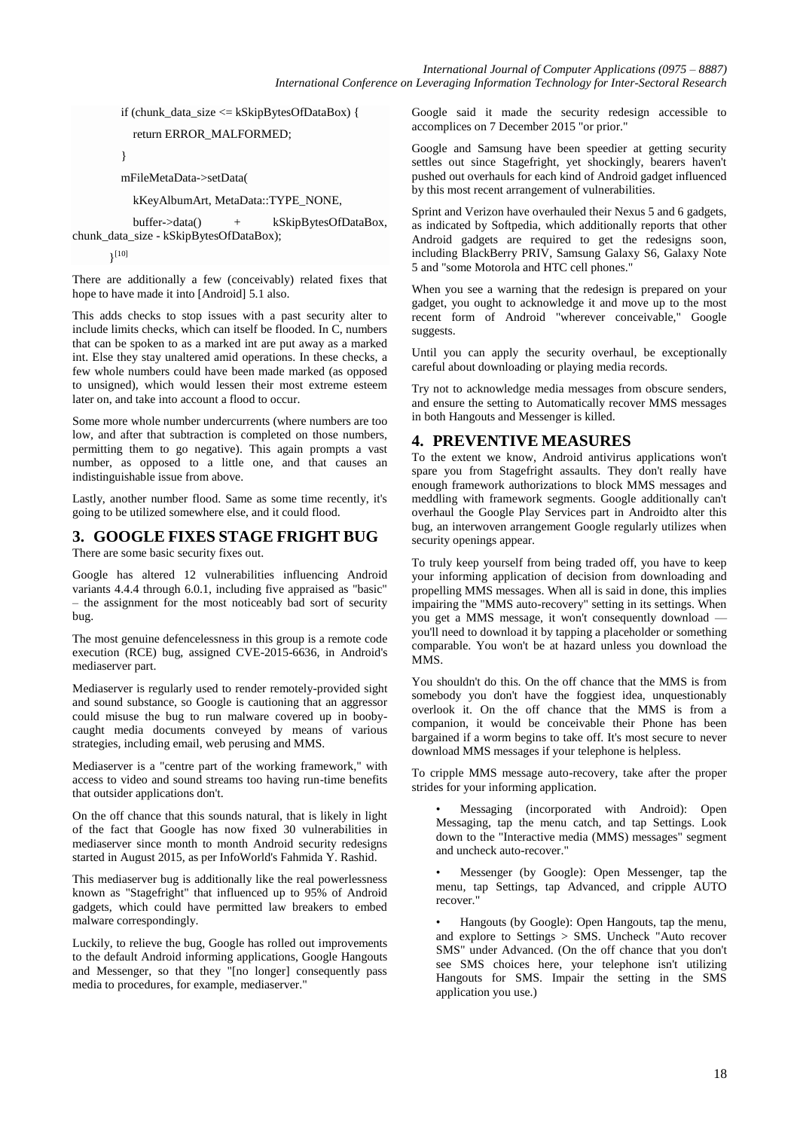if (chunk\_data\_size  $\leq$  kSkipBytesOfDataBox) {

return ERROR\_MALFORMED;

}

mFileMetaData->setData(

kKeyAlbumArt, MetaData::TYPE\_NONE,

 buffer->data() + kSkipBytesOfDataBox, chunk\_data\_size - kSkipBytesOfDataBox);

 $\}^{[10]}$ 

There are additionally a few (conceivably) related fixes that hope to have made it into [Android] 5.1 also.

This adds checks to stop issues with a past security alter to include limits checks, which can itself be flooded. In C, numbers that can be spoken to as a marked int are put away as a marked int. Else they stay unaltered amid operations. In these checks, a few whole numbers could have been made marked (as opposed to unsigned), which would lessen their most extreme esteem later on, and take into account a flood to occur.

Some more whole number undercurrents (where numbers are too low, and after that subtraction is completed on those numbers, permitting them to go negative). This again prompts a vast number, as opposed to a little one, and that causes an indistinguishable issue from above.

Lastly, another number flood. Same as some time recently, it's going to be utilized somewhere else, and it could flood.

# **3. GOOGLE FIXES STAGE FRIGHT BUG**

There are some basic security fixes out.

Google has altered 12 vulnerabilities influencing Android variants 4.4.4 through 6.0.1, including five appraised as "basic" – the assignment for the most noticeably bad sort of security bug.

The most genuine defencelessness in this group is a remote code execution (RCE) bug, assigned CVE-2015-6636, in Android's mediaserver part.

Mediaserver is regularly used to render remotely-provided sight and sound substance, so Google is cautioning that an aggressor could misuse the bug to run malware covered up in boobycaught media documents conveyed by means of various strategies, including email, web perusing and MMS.

Mediaserver is a "centre part of the working framework," with access to video and sound streams too having run-time benefits that outsider applications don't.

On the off chance that this sounds natural, that is likely in light of the fact that Google has now fixed 30 vulnerabilities in mediaserver since month to month Android security redesigns started in August 2015, as per InfoWorld's Fahmida Y. Rashid.

This mediaserver bug is additionally like the real powerlessness known as "Stagefright" that influenced up to 95% of Android gadgets, which could have permitted law breakers to embed malware correspondingly.

Luckily, to relieve the bug, Google has rolled out improvements to the default Android informing applications, Google Hangouts and Messenger, so that they "[no longer] consequently pass media to procedures, for example, mediaserver."

Google said it made the security redesign accessible to accomplices on 7 December 2015 "or prior."

Google and Samsung have been speedier at getting security settles out since Stagefright, yet shockingly, bearers haven't pushed out overhauls for each kind of Android gadget influenced by this most recent arrangement of vulnerabilities.

Sprint and Verizon have overhauled their Nexus 5 and 6 gadgets, as indicated by Softpedia, which additionally reports that other Android gadgets are required to get the redesigns soon, including BlackBerry PRIV, Samsung Galaxy S6, Galaxy Note 5 and "some Motorola and HTC cell phones."

When you see a warning that the redesign is prepared on your gadget, you ought to acknowledge it and move up to the most recent form of Android "wherever conceivable," Google suggests.

Until you can apply the security overhaul, be exceptionally careful about downloading or playing media records.

Try not to acknowledge media messages from obscure senders, and ensure the setting to Automatically recover MMS messages in both Hangouts and Messenger is killed.

# **4. PREVENTIVE MEASURES**

To the extent we know, Android antivirus applications won't spare you from Stagefright assaults. They don't really have enough framework authorizations to block MMS messages and meddling with framework segments. Google additionally can't overhaul the Google Play Services part in Androidto alter this bug, an interwoven arrangement Google regularly utilizes when security openings appear.

To truly keep yourself from being traded off, you have to keep your informing application of decision from downloading and propelling MMS messages. When all is said in done, this implies impairing the "MMS auto-recovery" setting in its settings. When you get a MMS message, it won't consequently download you'll need to download it by tapping a placeholder or something comparable. You won't be at hazard unless you download the MMS.

You shouldn't do this. On the off chance that the MMS is from somebody you don't have the foggiest idea, unquestionably overlook it. On the off chance that the MMS is from a companion, it would be conceivable their Phone has been bargained if a worm begins to take off. It's most secure to never download MMS messages if your telephone is helpless.

To cripple MMS message auto-recovery, take after the proper strides for your informing application.

• Messaging (incorporated with Android): Open Messaging, tap the menu catch, and tap Settings. Look down to the "Interactive media (MMS) messages" segment and uncheck auto-recover."

• Messenger (by Google): Open Messenger, tap the menu, tap Settings, tap Advanced, and cripple AUTO recover."

• Hangouts (by Google): Open Hangouts, tap the menu, and explore to Settings > SMS. Uncheck "Auto recover SMS" under Advanced. (On the off chance that you don't see SMS choices here, your telephone isn't utilizing Hangouts for SMS. Impair the setting in the SMS application you use.)